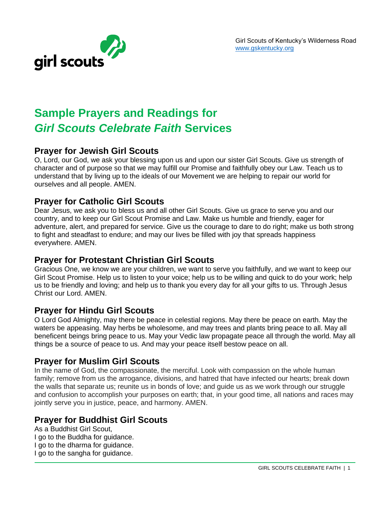

# **Sample Prayers and Readings for**  *Girl Scouts Celebrate Faith* **Services**

#### **Prayer for Jewish Girl Scouts**

O, Lord, our God, we ask your blessing upon us and upon our sister Girl Scouts. Give us strength of character and of purpose so that we may fulfill our Promise and faithfully obey our Law. Teach us to understand that by living up to the ideals of our Movement we are helping to repair our world for ourselves and all people. AMEN.

#### **Prayer for Catholic Girl Scouts**

Dear Jesus, we ask you to bless us and all other Girl Scouts. Give us grace to serve you and our country, and to keep our Girl Scout Promise and Law. Make us humble and friendly, eager for adventure, alert, and prepared for service. Give us the courage to dare to do right; make us both strong to fight and steadfast to endure; and may our lives be filled with joy that spreads happiness everywhere. AMEN.

#### **Prayer for Protestant Christian Girl Scouts**

Gracious One, we know we are your children, we want to serve you faithfully, and we want to keep our Girl Scout Promise. Help us to listen to your voice; help us to be willing and quick to do your work; help us to be friendly and loving; and help us to thank you every day for all your gifts to us. Through Jesus Christ our Lord. AMEN.

#### **Prayer for Hindu Girl Scouts**

O Lord God Almighty, may there be peace in celestial regions. May there be peace on earth. May the waters be appeasing. May herbs be wholesome, and may trees and plants bring peace to all. May all beneficent beings bring peace to us. May your Vedic law propagate peace all through the world. May all things be a source of peace to us. And may your peace itself bestow peace on all.

#### **Prayer for Muslim Girl Scouts**

In the name of God, the compassionate, the merciful. Look with compassion on the whole human family; remove from us the arrogance, divisions, and hatred that have infected our hearts; break down the walls that separate us; reunite us in bonds of love; and guide us as we work through our struggle and confusion to accomplish your purposes on earth; that, in your good time, all nations and races may jointly serve you in justice, peace, and harmony. AMEN.

## **Prayer for Buddhist Girl Scouts**

As a Buddhist Girl Scout, I go to the Buddha for guidance. I go to the dharma for guidance. I go to the sangha for guidance.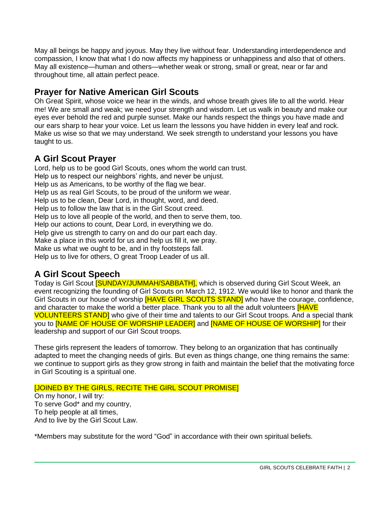May all beings be happy and joyous. May they live without fear. Understanding interdependence and compassion, I know that what I do now affects my happiness or unhappiness and also that of others. May all existence—human and others—whether weak or strong, small or great, near or far and throughout time, all attain perfect peace.

## **Prayer for Native American Girl Scouts**

Oh Great Spirit, whose voice we hear in the winds, and whose breath gives life to all the world. Hear me! We are small and weak; we need your strength and wisdom. Let us walk in beauty and make our eyes ever behold the red and purple sunset. Make our hands respect the things you have made and our ears sharp to hear your voice. Let us learn the lessons you have hidden in every leaf and rock. Make us wise so that we may understand. We seek strength to understand your lessons you have taught to us.

#### **A Girl Scout Prayer**

Lord, help us to be good Girl Scouts, ones whom the world can trust. Help us to respect our neighbors' rights, and never be unjust. Help us as Americans, to be worthy of the flag we bear. Help us as real Girl Scouts, to be proud of the uniform we wear. Help us to be clean, Dear Lord, in thought, word, and deed. Help us to follow the law that is in the Girl Scout creed. Help us to love all people of the world, and then to serve them, too. Help our actions to count, Dear Lord, in everything we do. Help give us strength to carry on and do our part each day. Make a place in this world for us and help us fill it, we pray. Make us what we ought to be, and in thy footsteps fall. Help us to live for others, O great Troop Leader of us all.

## **A Girl Scout Speech**

Todav is Girl Scout **[SUNDAY/JUMMAH/SABBATH]**, which is observed during Girl Scout Week, an event recognizing the founding of Girl Scouts on March 12, 1912. We would like to honor and thank the Girl Scouts in our house of worship **[HAVE GIRL SCOUTS STAND]** who have the courage, confidence, and character to make the world a better place. Thank you to all the adult volunteers **[HAVE** VOLUNTEERS STAND] who give of their time and talents to our Girl Scout troops. And a special thank you to **[NAME OF HOUSE OF WORSHIP LEADER]** and **[NAME OF HOUSE OF WORSHIP]** for their leadership and support of our Girl Scout troops.

These girls represent the leaders of tomorrow. They belong to an organization that has continually adapted to meet the changing needs of girls. But even as things change, one thing remains the same: we continue to support girls as they grow strong in faith and maintain the belief that the motivating force in Girl Scouting is a spiritual one.

#### [JOINED BY THE GIRLS, RECITE THE GIRL SCOUT PROMISE]

On my honor, I will try: To serve God\* and my country, To help people at all times, And to live by the Girl Scout Law.

\*Members may substitute for the word "God" in accordance with their own spiritual beliefs.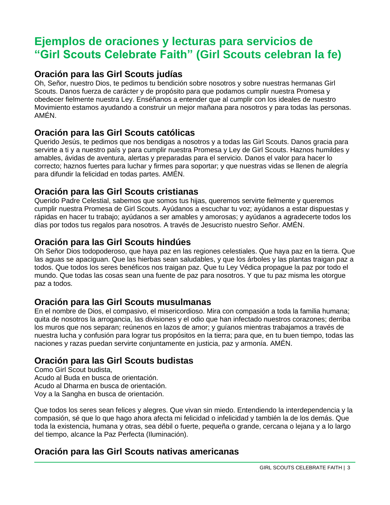## **Ejemplos de oraciones y lecturas para servicios de "Girl Scouts Celebrate Faith" (Girl Scouts celebran la fe)**

## **Oración para las Girl Scouts judías**

Oh, Señor, nuestro Dios, te pedimos tu bendición sobre nosotros y sobre nuestras hermanas Girl Scouts. Danos fuerza de carácter y de propósito para que podamos cumplir nuestra Promesa y obedecer fielmente nuestra Ley. Enséñanos a entender que al cumplir con los ideales de nuestro Movimiento estamos ayudando a construir un mejor mañana para nosotros y para todas las personas. AMÉN.

## **Oración para las Girl Scouts católicas**

Querido Jesús, te pedimos que nos bendigas a nosotros y a todas las Girl Scouts. Danos gracia para servirte a ti y a nuestro país y para cumplir nuestra Promesa y Ley de Girl Scouts. Haznos humildes y amables, ávidas de aventura, alertas y preparadas para el servicio. Danos el valor para hacer lo correcto; haznos fuertes para luchar y firmes para soportar; y que nuestras vidas se llenen de alegría para difundir la felicidad en todas partes. AMÉN.

## **Oración para las Girl Scouts cristianas**

Querido Padre Celestial, sabemos que somos tus hijas, queremos servirte fielmente y queremos cumplir nuestra Promesa de Girl Scouts. Ayúdanos a escuchar tu voz; ayúdanos a estar dispuestas y rápidas en hacer tu trabajo; ayúdanos a ser amables y amorosas; y ayúdanos a agradecerte todos los días por todos tus regalos para nosotros. A través de Jesucristo nuestro Señor. AMÉN.

## **Oración para las Girl Scouts hindúes**

Oh Señor Dios todopoderoso, que haya paz en las regiones celestiales. Que haya paz en la tierra. Que las aguas se apaciguan. Que las hierbas sean saludables, y que los árboles y las plantas traigan paz a todos. Que todos los seres benéficos nos traigan paz. Que tu Ley Védica propague la paz por todo el mundo. Que todas las cosas sean una fuente de paz para nosotros. Y que tu paz misma les otorgue paz a todos.

## **Oración para las Girl Scouts musulmanas**

En el nombre de Dios, el compasivo, el misericordioso. Mira con compasión a toda la familia humana; quita de nosotros la arrogancia, las divisiones y el odio que han infectado nuestros corazones; derriba los muros que nos separan; reúnenos en lazos de amor; y guíanos mientras trabajamos a través de nuestra lucha y confusión para lograr tus propósitos en la tierra; para que, en tu buen tiempo, todas las naciones y razas puedan servirte conjuntamente en justicia, paz y armonía. AMÉN.

## **Oración para las Girl Scouts budistas**

Como Girl Scout budista, Acudo al Buda en busca de orientación. Acudo al Dharma en busca de orientación. Voy a la Sangha en busca de orientación.

Que todos los seres sean felices y alegres. Que vivan sin miedo. Entendiendo la interdependencia y la compasión, sé que lo que hago ahora afecta mi felicidad o infelicidad y también la de los demás. Que toda la existencia, humana y otras, sea débil o fuerte, pequeña o grande, cercana o lejana y a lo largo del tiempo, alcance la Paz Perfecta (Iluminación).

## **Oración para las Girl Scouts nativas americanas**